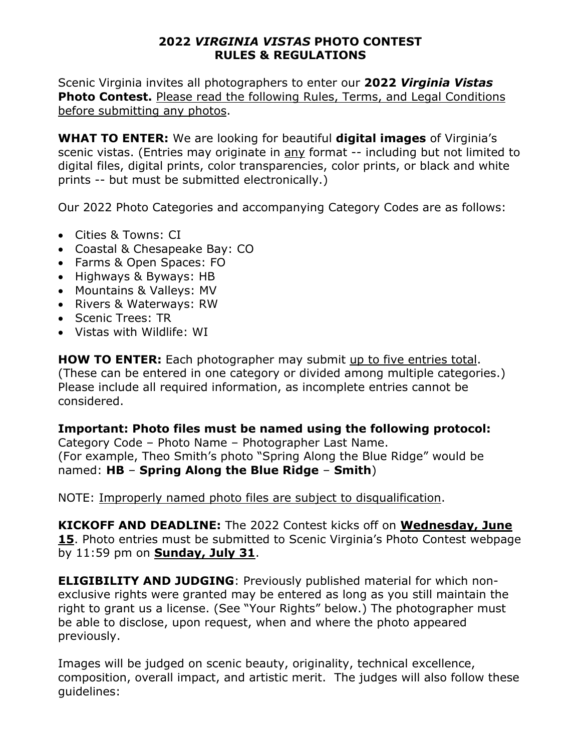## **2022** *VIRGINIA VISTAS* **PHOTO CONTEST RULES & REGULATIONS**

Scenic Virginia invites all photographers to enter our **2022** *Virginia Vistas* **Photo Contest.** Please read the following Rules, Terms, and Legal Conditions before submitting any photos.

**WHAT TO ENTER:** We are looking for beautiful **digital images** of Virginia's scenic vistas. (Entries may originate in any format -- including but not limited to digital files, digital prints, color transparencies, color prints, or black and white prints -- but must be submitted electronically.)

Our 2022 Photo Categories and accompanying Category Codes are as follows:

- Cities & Towns: CI
- Coastal & Chesapeake Bay: CO
- Farms & Open Spaces: FO
- Highways & Byways: HB
- Mountains & Valleys: MV
- Rivers & Waterways: RW
- Scenic Trees: TR
- Vistas with Wildlife: WI

**HOW TO ENTER:** Each photographer may submit up to five entries total. (These can be entered in one category or divided among multiple categories.) Please include all required information, as incomplete entries cannot be considered.

## **Important: Photo files must be named using the following protocol:**

Category Code – Photo Name – Photographer Last Name. (For example, Theo Smith's photo "Spring Along the Blue Ridge" would be named: **HB** – **Spring Along the Blue Ridge** – **Smith**)

NOTE: Improperly named photo files are subject to disqualification.

**KICKOFF AND DEADLINE:** The 2022 Contest kicks off on **Wednesday, June 15**. Photo entries must be submitted to Scenic Virginia's Photo Contest webpage by 11:59 pm on **Sunday, July 31**.

**ELIGIBILITY AND JUDGING**: Previously published material for which nonexclusive rights were granted may be entered as long as you still maintain the right to grant us a license. (See "Your Rights" below.) The photographer must be able to disclose, upon request, when and where the photo appeared previously.

Images will be judged on scenic beauty, originality, technical excellence, composition, overall impact, and artistic merit. The judges will also follow these guidelines: